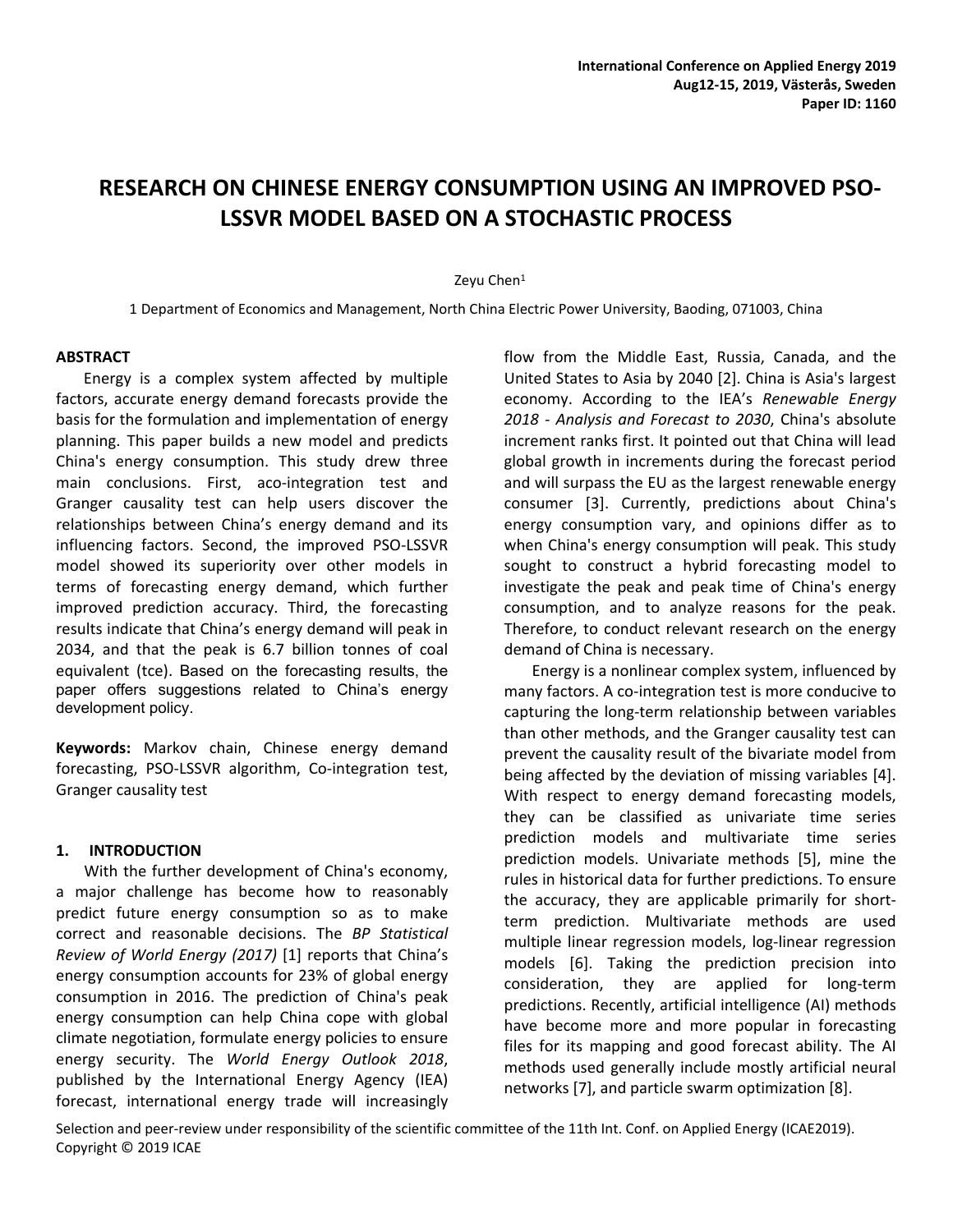# **RESEARCH ON CHINESE ENERGY CONSUMPTION USING AN IMPROVED PSO-LSSVR MODEL BASED ON A STOCHASTIC PROCESS**

## Zeyu Chen<sup>1</sup>

1 Department of Economics and Management, North China Electric Power University, Baoding, 071003, China

## **ABSTRACT**

Energy is a complex system affected by multiple factors, accurate energy demand forecasts provide the basis for the formulation and implementation of energy planning. This paper builds a new model and predicts China's energy consumption. This study drew three main conclusions. First, aco-integration test and Granger causality test can help users discover the relationships between China's energy demand and its influencing factors. Second, the improved PSO-LSSVR model showed its superiority over other models in terms of forecasting energy demand, which further improved prediction accuracy. Third, the forecasting results indicate that China's energy demand will peak in 2034, and that the peak is 6.7 billion tonnes of coal equivalent (tce). Based on the forecasting results, the paper offers suggestions related to China's energy development policy.

**Keywords:** Markov chain, Chinese energy demand forecasting, PSO-LSSVR algorithm, Co-integration test, Granger causality test

## **1. INTRODUCTION**

With the further development of China's economy, a major challenge has become how to reasonably predict future energy consumption so as to make correct and reasonable decisions. The *BP Statistical Review of World Energy (2017)* [1] reports that China's energy consumption accounts for 23% of global energy consumption in 2016. The prediction of China's peak energy consumption can help China cope with global climate negotiation, formulate energy policies to ensure energy security. The *World Energy Outlook 2018*, published by the International Energy Agency (IEA) forecast, international energy trade will increasingly

flow from the Middle East, Russia, Canada, and the United States to Asia by 2040 [2]. China is Asia's largest economy. According to the IEA's *Renewable Energy 2018 - Analysis and Forecast to 2030*, China's absolute increment ranks first. It pointed out that China will lead global growth in increments during the forecast period and will surpass the EU as the largest renewable energy consumer [3]. Currently, predictions about China's energy consumption vary, and opinions differ as to when China's energy consumption will peak. This study sought to construct a hybrid forecasting model to investigate the peak and peak time of China's energy consumption, and to analyze reasons for the peak. Therefore, to conduct relevant research on the energy demand of China is necessary.

Energy is a nonlinear complex system, influenced by many factors. A co-integration test is more conducive to capturing the long-term relationship between variables than other methods, and the Granger causality test can prevent the causality result of the bivariate model from being affected by the deviation of missing variables [4]. With respect to energy demand forecasting models, they can be classified as univariate time series prediction models and multivariate time series prediction models. Univariate methods [5], mine the rules in historical data for further predictions. To ensure the accuracy, they are applicable primarily for shortterm prediction. Multivariate methods are used multiple linear regression models, log-linear regression models [6]. Taking the prediction precision into consideration, they are applied for long-term predictions. Recently, artificial intelligence (AI) methods have become more and more popular in forecasting files for its mapping and good forecast ability. The AI methods used generally include mostly artificial neural networks [7], and particle swarm optimization [8].

Selection and peer-review under responsibility of the scientific committee of the 11th Int. Conf. on Applied Energy (ICAE2019). Copyright © 2019 ICAE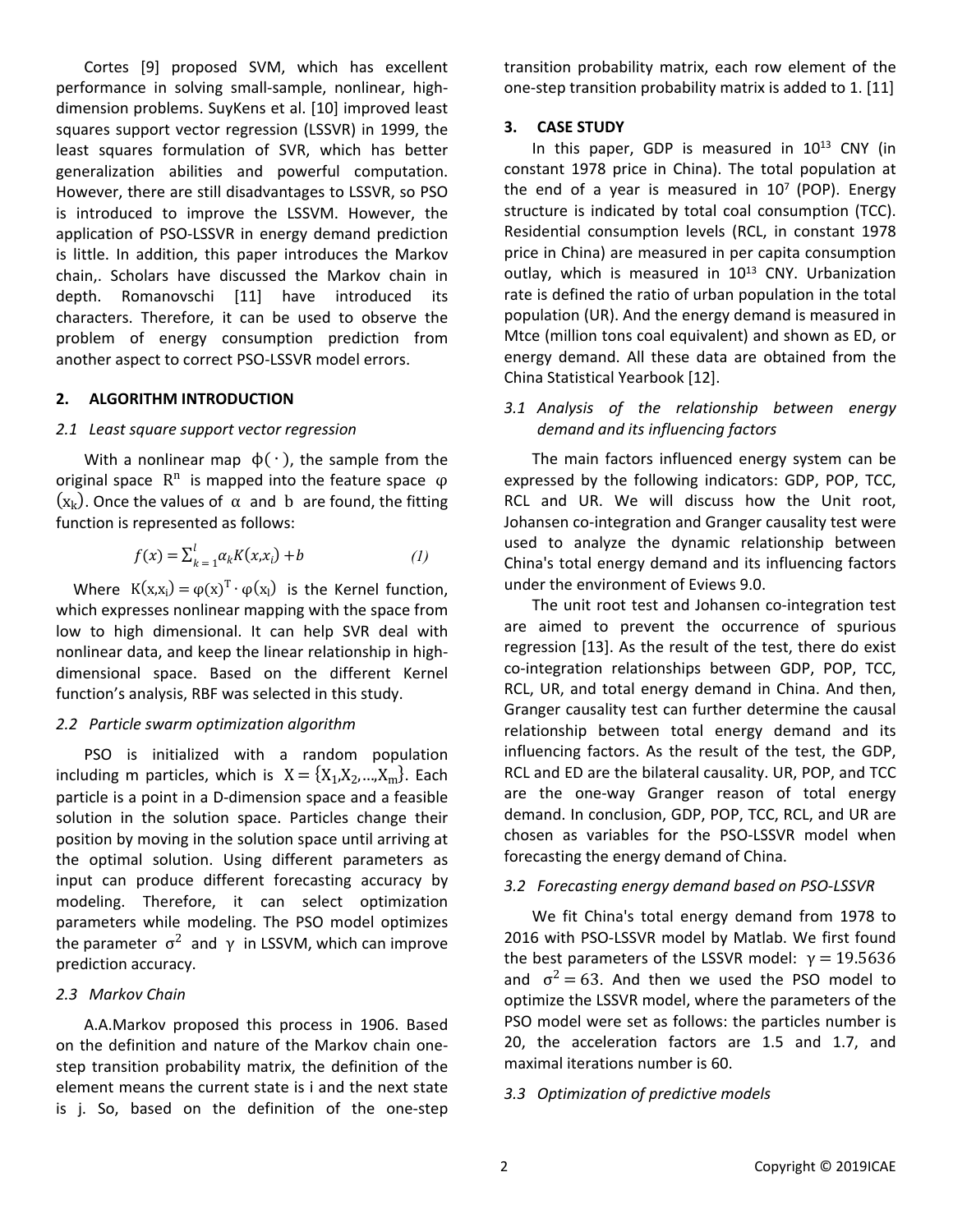Cortes [9] proposed SVM, which has excellent performance in solving small-sample, nonlinear, highdimension problems. SuyKens et al. [10] improved least squares support vector regression (LSSVR) in 1999, the least squares formulation of SVR, which has better generalization abilities and powerful computation. However, there are still disadvantages to LSSVR, so PSO is introduced to improve the LSSVM. However, the application of PSO-LSSVR in energy demand prediction is little. In addition, this paper introduces the Markov chain,. Scholars have discussed the Markov chain in depth. Romanovschi [11] have introduced its characters. Therefore, it can be used to observe the problem of energy consumption prediction from another aspect to correct PSO-LSSVR model errors.

## **2. ALGORITHM INTRODUCTION**

## *2.1 Least square support vector regression*

With a nonlinear map  $\phi(\cdot)$ , the sample from the original space  $\mathbb{R}^n$  is mapped into the feature space  $\varphi$  $(x_k)$ . Once the values of  $\alpha$  and b are found, the fitting function is represented as follows:

$$
f(x) = \sum_{k=1}^{l} \alpha_k K(x, x_i) + b \tag{1}
$$

Where  $K(x,x_i) = \varphi(x)^T \cdot \varphi(x_i)$  is the Kernel function, which expresses nonlinear mapping with the space from low to high dimensional. It can help SVR deal with nonlinear data, and keep the linear relationship in highdimensional space. Based on the different Kernel function's analysis, RBF was selected in this study.

## *2.2 Particle swarm optimization algorithm*

PSO is initialized with a random population including m particles, which is  $X = \{X_1, X_2, ..., X_m\}$ . Each particle is a point in a D-dimension space and a feasible solution in the solution space. Particles change their position by moving in the solution space until arriving at the optimal solution. Using different parameters as input can produce different forecasting accuracy by modeling. Therefore, it can select optimization parameters while modeling. The PSO model optimizes the parameter  $\sigma^2$  and γ in LSSVM, which can improve prediction accuracy.

## *2.3 Markov Chain*

A.A.Markov proposed this process in 1906. Based on the definition and nature of the Markov chain onestep transition probability matrix, the definition of the element means the current state is i and the next state is j. So, based on the definition of the one-step transition probability matrix, each row element of the one-step transition probability matrix is added to 1. [11]

# **3. CASE STUDY**

In this paper, GDP is measured in 10<sup>13</sup> CNY (in constant 1978 price in China). The total population at the end of a year is measured in  $10^7$  (POP). Energy structure is indicated by total coal consumption (TCC). Residential consumption levels (RCL, in constant 1978 price in China) are measured in per capita consumption outlay, which is measured in 10<sup>13</sup> CNY. Urbanization rate is defined the ratio of urban population in the total population (UR). And the energy demand is measured in Mtce (million tons coal equivalent) and shown as ED, or energy demand. All these data are obtained from the China Statistical Yearbook [12].

# *3.1 Analysis of the relationship between energy demand and its influencing factors*

The main factors influenced energy system can be expressed by the following indicators: GDP, POP, TCC, RCL and UR. We will discuss how the Unit root, Johansen co-integration and Granger causality test were used to analyze the dynamic relationship between China's total energy demand and its influencing factors under the environment of Eviews 9.0.

The unit root test and Johansen co-integration test are aimed to prevent the occurrence of spurious regression [13]. As the result of the test, there do exist co-integration relationships between GDP, POP, TCC, RCL, UR, and total energy demand in China. And then, Granger causality test can further determine the causal relationship between total energy demand and its influencing factors. As the result of the test, the GDP, RCL and ED are the bilateral causality. UR, POP, and TCC are the one-way Granger reason of total energy demand. In conclusion, GDP, POP, TCC, RCL, and UR are chosen as variables for the PSO-LSSVR model when forecasting the energy demand of China.

## *3.2 Forecasting energy demand based on PSO-LSSVR*

We fit China's total energy demand from 1978 to 2016 with PSO-LSSVR model by Matlab. We first found the best parameters of the LSSVR model:  $γ = 19.5636$ and  $\sigma^2 = 63$ . And then we used the PSO model to optimize the LSSVR model, where the parameters of the PSO model were set as follows: the particles number is 20, the acceleration factors are 1.5 and 1.7, and maximal iterations number is 60.

## *3.3 Optimization of predictive models*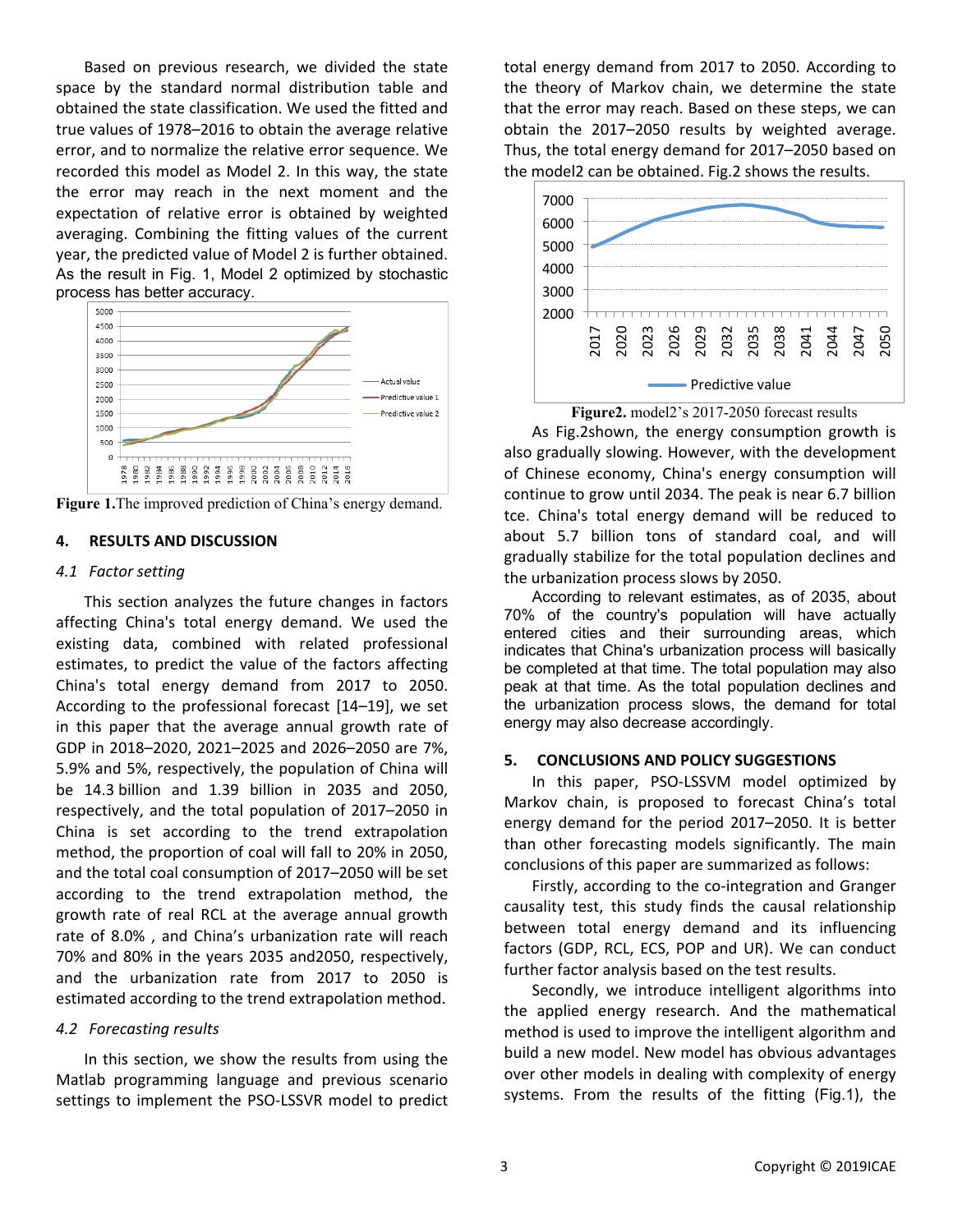Based on previous research, we divided the state space by the standard normal distribution table and obtained the state classification. We used the fitted and true values of 1978–2016 to obtain the average relative error, and to normalize the relative error sequence. We recorded this model as Model 2. In this way, the state the error may reach in the next moment and the expectation of relative error is obtained by weighted averaging. Combining the fitting values of the current year, the predicted value of Model 2 is further obtained. As the result in Fig. 1, Model 2 optimized by stochastic process has better accuracy.



**Figure 1.**The improved prediction of China's energy demand.

## **4. RESULTS AND DISCUSSION**

## *4.1 Factor setting*

This section analyzes the future changes in factors affecting China's total energy demand. We used the existing data, combined with related professional estimates, to predict the value of the factors affecting China's total energy demand from 2017 to 2050. According to the professional forecast [14–19], we set in this paper that the average annual growth rate of GDP in 2018–2020, 2021–2025 and 2026–2050 are 7%, 5.9% and 5%, respectively, the population of China will be 14.3 billion and 1.39 billion in 2035 and 2050, respectively, and the total population of 2017–2050 in China is set according to the trend extrapolation method, the proportion of coal will fall to 20% in 2050, and the total coal consumption of 2017–2050 will be set according to the trend extrapolation method, the growth rate of real RCL at the average annual growth rate of 8.0% , and China's urbanization rate will reach 70% and 80% in the years 2035 and2050, respectively, and the urbanization rate from 2017 to 2050 is estimated according to the trend extrapolation method.

## *4.2 Forecasting results*

In this section, we show the results from using the Matlab programming language and previous scenario settings to implement the PSO-LSSVR model to predict total energy demand from 2017 to 2050. According to the theory of Markov chain, we determine the state that the error may reach. Based on these steps, we can obtain the 2017–2050 results by weighted average. Thus, the total energy demand for 2017–2050 based on the model2 can be obtained. Fig.2 shows the results.



**Figure2.** model2's 2017-2050 forecast results

As Fig.2shown, the energy consumption growth is also gradually slowing. However, with the development of Chinese economy, China's energy consumption will continue to grow until 2034. The peak is near 6.7 billion tce. China's total energy demand will be reduced to about 5.7 billion tons of standard coal, and will gradually stabilize for the total population declines and the urbanization process slows by 2050.

According to relevant estimates, as of 2035, about 70% of the country's population will have actually entered cities and their surrounding areas, which indicates that China's urbanization process will basically be completed at that time. The total population may also peak at that time. As the total population declines and the urbanization process slows, the demand for total energy may also decrease accordingly.

## **5. CONCLUSIONS AND POLICY SUGGESTIONS**

In this paper, PSO-LSSVM model optimized by Markov chain, is proposed to forecast China's total energy demand for the period 2017–2050. It is better than other forecasting models significantly. The main conclusions of this paper are summarized as follows:

Firstly, according to the co-integration and Granger causality test, this study finds the causal relationship between total energy demand and its influencing factors (GDP, RCL, ECS, POP and UR). We can conduct further factor analysis based on the test results.

Secondly, we introduce intelligent algorithms into the applied energy research. And the mathematical method is used to improve the intelligent algorithm and build a new model. New model has obvious advantages over other models in dealing with complexity of energy systems. From the results of the fitting (Fig.1), the